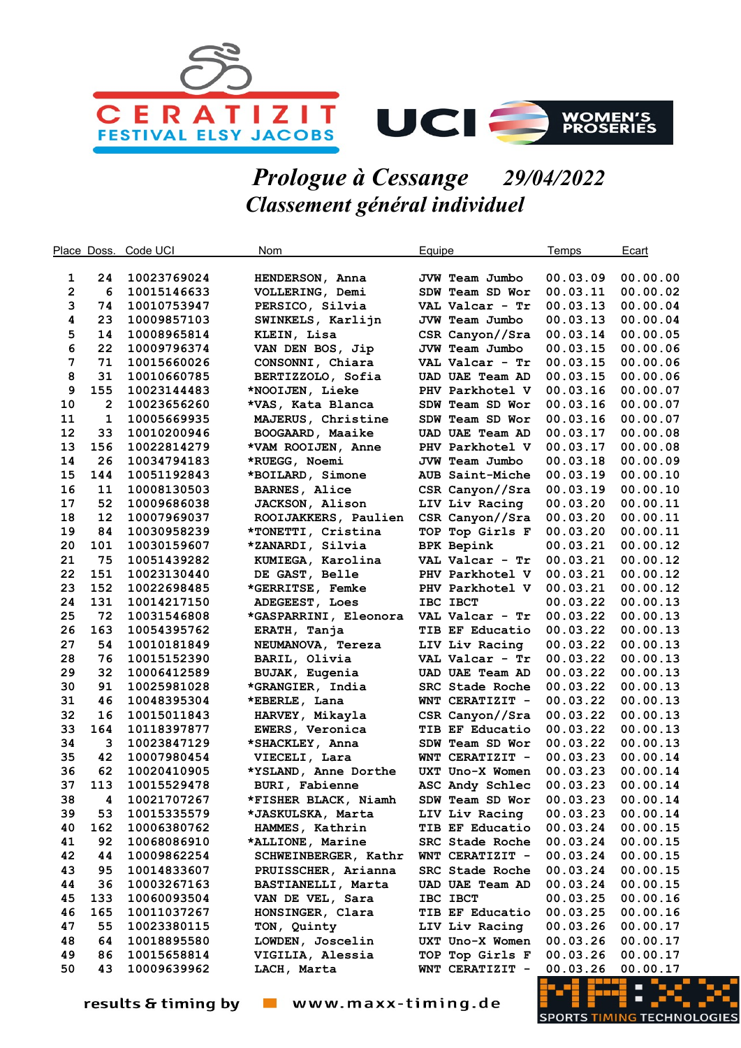

## Prologue à Cessange 29/04/2022 Classement général individuel

|             | Place Doss.    | Code UCI    | <b>Nom</b>            | Equipe |                        | Temps    | Ecart    |
|-------------|----------------|-------------|-----------------------|--------|------------------------|----------|----------|
|             |                |             |                       |        |                        |          |          |
| 1           | 24             | 10023769024 | HENDERSON, Anna       |        | JVW Team Jumbo         | 00.03.09 | 00.00.00 |
| $\mathbf 2$ | 6              | 10015146633 | VOLLERING, Demi       |        | SDW Team SD Wor        | 00.03.11 | 00.00.02 |
| 3           | 74             | 10010753947 | PERSICO, Silvia       |        | VAL Valcar - Tr        | 00.03.13 | 00.00.04 |
| 4           | 23             | 10009857103 | SWINKELS, Karlijn     |        | JVW Team Jumbo         | 00.03.13 | 00.00.04 |
| 5           | 14             | 10008965814 | KLEIN, Lisa           |        | CSR Canyon//Sra        | 00.03.14 | 00.00.05 |
| 6           | 22             | 10009796374 | VAN DEN BOS, Jip      |        | JVW Team Jumbo         | 00.03.15 | 00.00.06 |
| 7           | 71             | 10015660026 | CONSONNI, Chiara      |        | VAL Valcar - Tr        | 00.03.15 | 00.00.06 |
| 8           | 31             | 10010660785 | BERTIZZOLO, Sofia     |        | <b>UAD UAE Team AD</b> | 00.03.15 | 00.00.06 |
| 9           | 155            | 10023144483 | *NOOIJEN, Lieke       |        | PHV Parkhotel V        | 00.03.16 | 00.00.07 |
| 10          | $\overline{2}$ | 10023656260 | *VAS, Kata Blanca     |        | SDW Team SD Wor        | 00.03.16 | 00.00.07 |
| 11          | 1              | 10005669935 | MAJERUS, Christine    |        | SDW Team SD Wor        | 00.03.16 | 00.00.07 |
| 12          | 33             | 10010200946 | BOOGAARD, Maaike      |        | UAD UAE Team AD        | 00.03.17 | 00.00.08 |
| 13          | 156            | 10022814279 | *VAM ROOIJEN, Anne    |        | PHV Parkhotel V        | 00.03.17 | 00.00.08 |
| 14          | 26             | 10034794183 | *RUEGG, Noemi         |        | JVW Team Jumbo         | 00.03.18 | 00.00.09 |
| 15          | 144            | 10051192843 | *BOILARD, Simone      |        | AUB Saint-Miche        | 00.03.19 | 00.00.10 |
| 16          | 11             | 10008130503 | <b>BARNES, Alice</b>  |        | CSR Canyon//Sra        | 00.03.19 | 00.00.10 |
| 17          | 52             | 10009686038 | JACKSON, Alison       |        | LIV Liv Racing         | 00.03.20 | 00.00.11 |
| 18          | 12             | 10007969037 | ROOIJAKKERS, Paulien  |        | CSR Canyon//Sra        | 00.03.20 | 00.00.11 |
| 19          | 84             | 10030958239 | *TONETTI, Cristina    |        | TOP Top Girls F        | 00.03.20 | 00.00.11 |
| 20          | 101            | 10030159607 | *ZANARDI, Silvia      |        | <b>BPK Bepink</b>      | 00.03.21 | 00.00.12 |
| 21          | 75             | 10051439282 | KUMIEGA, Karolina     |        | VAL Valcar - Tr        | 00.03.21 | 00.00.12 |
| 22          | 151            | 10023130440 | DE GAST, Belle        |        | PHV Parkhotel V        | 00.03.21 | 00.00.12 |
| 23          | 152            | 10022698485 | *GERRITSE, Femke      |        | PHV Parkhotel V        | 00.03.21 | 00.00.12 |
| 24          | 131            | 10014217150 | ADEGEEST, Loes        |        | IBC IBCT               | 00.03.22 | 00.00.13 |
| 25          | 72             | 10031546808 | *GASPARRINI, Eleonora |        | VAL Valcar - Tr        | 00.03.22 | 00.00.13 |
| 26          | 163            | 10054395762 | ERATH, Tanja          |        | TIB EF Educatio        | 00.03.22 | 00.00.13 |
| 27          | 54             | 10010181849 | NEUMANOVA, Tereza     |        | LIV Liv Racing         | 00.03.22 | 00.00.13 |
| 28          | 76             | 10015152390 | BARIL, Olivia         |        | VAL Valcar - Tr        | 00.03.22 | 00.00.13 |
| 29          | 32             | 10006412589 | BUJAK, Eugenia        |        | UAD UAE Team AD        | 00.03.22 | 00.00.13 |
| 30          | 91             | 10025981028 | *GRANGIER, India      |        | SRC Stade Roche        | 00.03.22 | 00.00.13 |
| 31          | 46             | 10048395304 | *EBERLE, Lana         |        | WNT CERATIZIT -        | 00.03.22 | 00.00.13 |
| 32          | 16             | 10015011843 | HARVEY, Mikayla       |        | CSR Canyon//Sra        | 00.03.22 | 00.00.13 |
| 33          | 164            | 10118397877 | EWERS, Veronica       |        | TIB EF Educatio        | 00.03.22 | 00.00.13 |
| 34          | 3              | 10023847129 | *SHACKLEY, Anna       |        | SDW Team SD Wor        | 00.03.22 | 00.00.13 |
| 35          | 42             | 10007980454 | VIECELI, Lara         |        | WNT CERATIZIT -        | 00.03.23 | 00.00.14 |
| 36          | 62             | 10020410905 | *YSLAND, Anne Dorthe  |        | UXT Uno-X Women        | 00.03.23 | 00.00.14 |
| 37          | 113            | 10015529478 | BURI, Fabienne        |        | ASC Andy Schlec        | 00.03.23 | 00.00.14 |
| 38          | 4              | 10021707267 | *FISHER BLACK, Niamh  |        | SDW Team SD Wor        | 00.03.23 | 00.00.14 |
| 39          | 53             | 10015335579 | *JASKULSKA, Marta     |        | LIV Liv Racing         | 00.03.23 | 00.00.14 |
| 40          | 162            | 10006380762 | HAMMES, Kathrin       |        | TIB EF Educatio        | 00.03.24 | 00.00.15 |
| 41          | 92             | 10068086910 | *ALLIONE, Marine      |        | SRC Stade Roche        | 00.03.24 | 00.00.15 |
| 42          | 44             | 10009862254 | SCHWEINBERGER, Kathr  |        | WNT CERATIZIT -        | 00.03.24 | 00.00.15 |
| 43          | 95             | 10014833607 | PRUISSCHER, Arianna   |        | SRC Stade Roche        | 00.03.24 | 00.00.15 |
| 44          | 36             | 10003267163 | BASTIANELLI, Marta    |        | <b>UAD UAE Team AD</b> | 00.03.24 | 00.00.15 |
| 45          | 133            | 10060093504 | VAN DE VEL, Sara      |        | IBC IBCT               | 00.03.25 | 00.00.16 |
| 46          | 165            | 10011037267 | HONSINGER, Clara      |        | TIB EF Educatio        | 00.03.25 | 00.00.16 |
| 47          | 55             | 10023380115 | TON, Quinty           |        | LIV Liv Racing         | 00.03.26 | 00.00.17 |
| 48          | 64             | 10018895580 | LOWDEN, Joscelin      |        | UXT Uno-X Women        | 00.03.26 | 00.00.17 |
| 49          | 86             | 10015658814 | VIGILIA, Alessia      |        | TOP Top Girls F        | 00.03.26 | 00.00.17 |
| 50          | 43             | 10009639962 | LACH, Marta           |        | WNT CERATIZIT -        | 00.03.26 | 00.00.17 |

results & timing by vww.maxx-timing.de